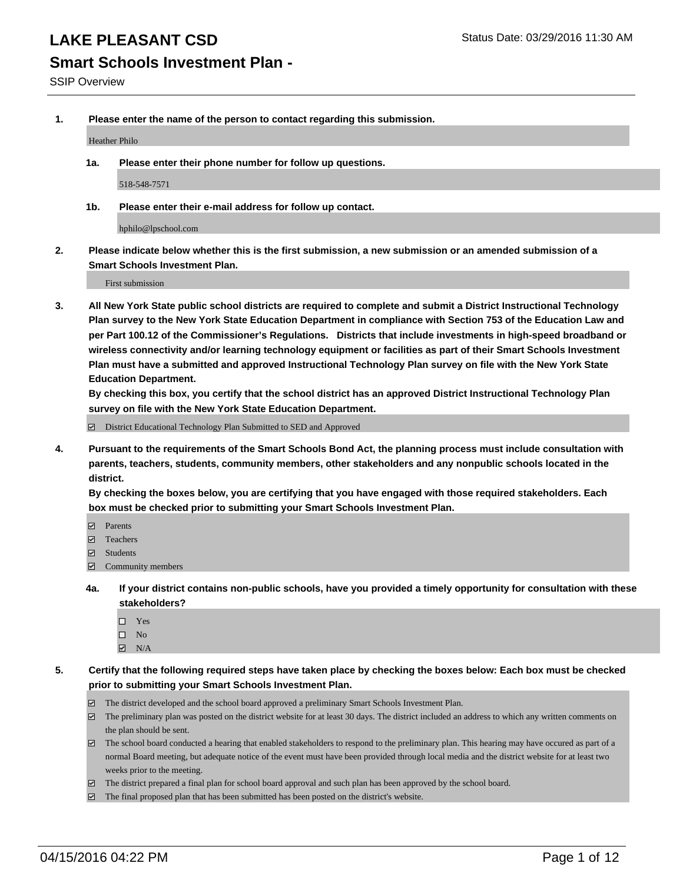### **Smart Schools Investment Plan -**

SSIP Overview

**1. Please enter the name of the person to contact regarding this submission.**

Heather Philo

**1a. Please enter their phone number for follow up questions.**

518-548-7571

**1b. Please enter their e-mail address for follow up contact.**

hphilo@lpschool.com

**2. Please indicate below whether this is the first submission, a new submission or an amended submission of a Smart Schools Investment Plan.**

First submission

**3. All New York State public school districts are required to complete and submit a District Instructional Technology Plan survey to the New York State Education Department in compliance with Section 753 of the Education Law and per Part 100.12 of the Commissioner's Regulations. Districts that include investments in high-speed broadband or wireless connectivity and/or learning technology equipment or facilities as part of their Smart Schools Investment Plan must have a submitted and approved Instructional Technology Plan survey on file with the New York State Education Department.** 

**By checking this box, you certify that the school district has an approved District Instructional Technology Plan survey on file with the New York State Education Department.**

■ District Educational Technology Plan Submitted to SED and Approved

**4. Pursuant to the requirements of the Smart Schools Bond Act, the planning process must include consultation with parents, teachers, students, community members, other stakeholders and any nonpublic schools located in the district.** 

**By checking the boxes below, you are certifying that you have engaged with those required stakeholders. Each box must be checked prior to submitting your Smart Schools Investment Plan.**

- **Parents**
- □ Teachers
- Students
- $\boxdot$  Community members
- **4a. If your district contains non-public schools, have you provided a timely opportunity for consultation with these stakeholders?**
	- □ Yes
	- $\square$  No
	- $\boxtimes$  N/A
- **5. Certify that the following required steps have taken place by checking the boxes below: Each box must be checked prior to submitting your Smart Schools Investment Plan.**
	- The district developed and the school board approved a preliminary Smart Schools Investment Plan.
	- The preliminary plan was posted on the district website for at least 30 days. The district included an address to which any written comments on the plan should be sent.
	- $\Box$  The school board conducted a hearing that enabled stakeholders to respond to the preliminary plan. This hearing may have occured as part of a normal Board meeting, but adequate notice of the event must have been provided through local media and the district website for at least two weeks prior to the meeting.
	- The district prepared a final plan for school board approval and such plan has been approved by the school board.
	- The final proposed plan that has been submitted has been posted on the district's website.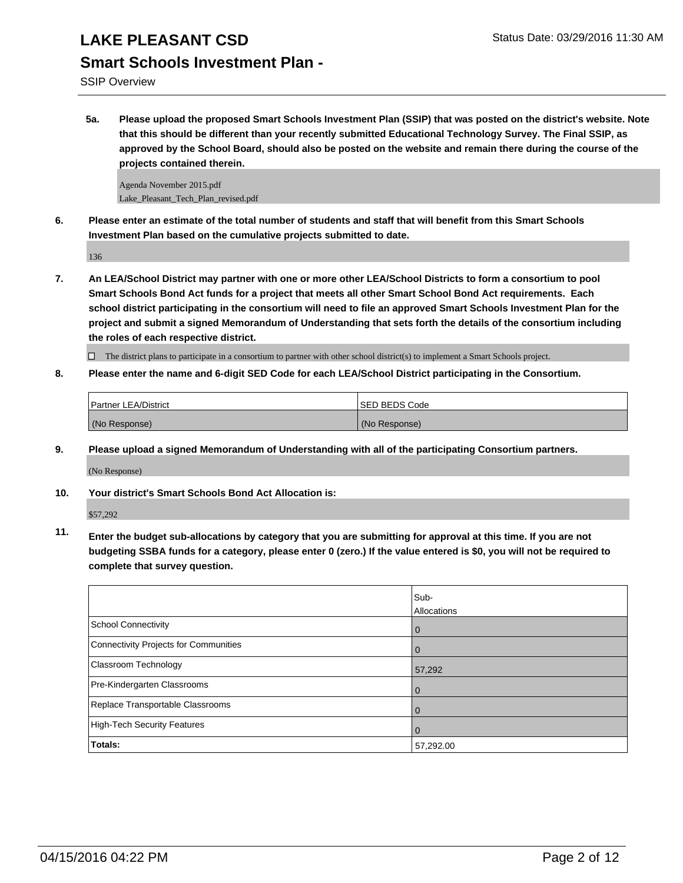### **Smart Schools Investment Plan -**

SSIP Overview

**5a. Please upload the proposed Smart Schools Investment Plan (SSIP) that was posted on the district's website. Note that this should be different than your recently submitted Educational Technology Survey. The Final SSIP, as approved by the School Board, should also be posted on the website and remain there during the course of the projects contained therein.**

Agenda November 2015.pdf Lake\_Pleasant\_Tech\_Plan\_revised.pdf

**6. Please enter an estimate of the total number of students and staff that will benefit from this Smart Schools Investment Plan based on the cumulative projects submitted to date.**

136

**7. An LEA/School District may partner with one or more other LEA/School Districts to form a consortium to pool Smart Schools Bond Act funds for a project that meets all other Smart School Bond Act requirements. Each school district participating in the consortium will need to file an approved Smart Schools Investment Plan for the project and submit a signed Memorandum of Understanding that sets forth the details of the consortium including the roles of each respective district.**

 $\Box$  The district plans to participate in a consortium to partner with other school district(s) to implement a Smart Schools project.

**8. Please enter the name and 6-digit SED Code for each LEA/School District participating in the Consortium.**

| <b>Partner LEA/District</b> | <b>ISED BEDS Code</b> |
|-----------------------------|-----------------------|
| (No Response)               | (No Response)         |

**9. Please upload a signed Memorandum of Understanding with all of the participating Consortium partners.**

(No Response)

**10. Your district's Smart Schools Bond Act Allocation is:**

\$57,292

**11. Enter the budget sub-allocations by category that you are submitting for approval at this time. If you are not budgeting SSBA funds for a category, please enter 0 (zero.) If the value entered is \$0, you will not be required to complete that survey question.**

|                                       | Sub-<br>Allocations |
|---------------------------------------|---------------------|
| School Connectivity                   | 0                   |
| Connectivity Projects for Communities |                     |
| <b>Classroom Technology</b>           | 57,292              |
| Pre-Kindergarten Classrooms           |                     |
| Replace Transportable Classrooms      | O                   |
| High-Tech Security Features           |                     |
| Totals:                               | 57,292.00           |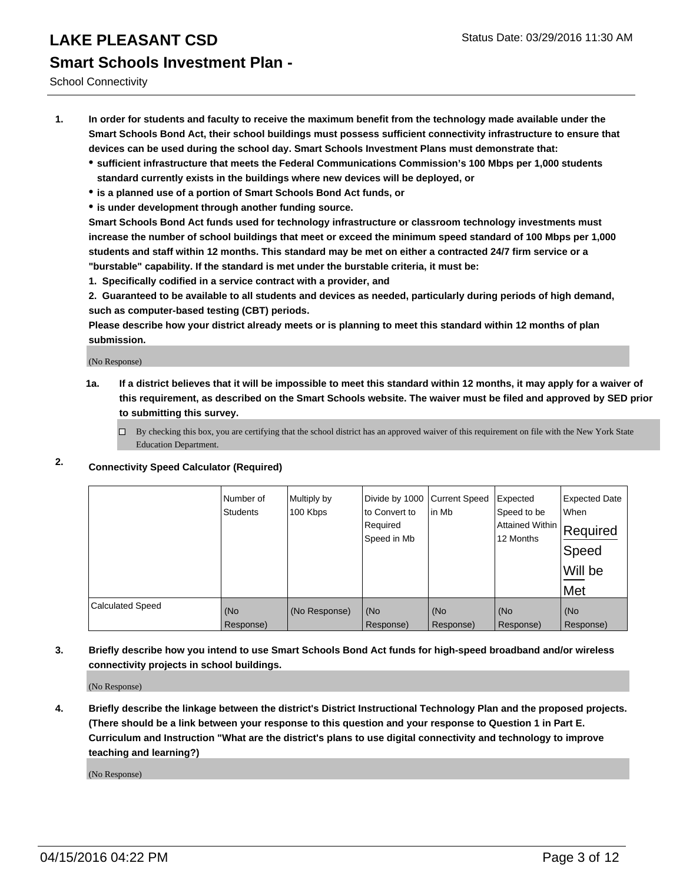School Connectivity

- **1. In order for students and faculty to receive the maximum benefit from the technology made available under the Smart Schools Bond Act, their school buildings must possess sufficient connectivity infrastructure to ensure that devices can be used during the school day. Smart Schools Investment Plans must demonstrate that:**
	- **sufficient infrastructure that meets the Federal Communications Commission's 100 Mbps per 1,000 students standard currently exists in the buildings where new devices will be deployed, or**
	- **is a planned use of a portion of Smart Schools Bond Act funds, or**
	- **is under development through another funding source.**

**Smart Schools Bond Act funds used for technology infrastructure or classroom technology investments must increase the number of school buildings that meet or exceed the minimum speed standard of 100 Mbps per 1,000 students and staff within 12 months. This standard may be met on either a contracted 24/7 firm service or a "burstable" capability. If the standard is met under the burstable criteria, it must be:**

**1. Specifically codified in a service contract with a provider, and**

**2. Guaranteed to be available to all students and devices as needed, particularly during periods of high demand, such as computer-based testing (CBT) periods.**

**Please describe how your district already meets or is planning to meet this standard within 12 months of plan submission.**

(No Response)

- **1a. If a district believes that it will be impossible to meet this standard within 12 months, it may apply for a waiver of this requirement, as described on the Smart Schools website. The waiver must be filed and approved by SED prior to submitting this survey.**
	- □ By checking this box, you are certifying that the school district has an approved waiver of this requirement on file with the New York State Education Department.
- **2. Connectivity Speed Calculator (Required)**

|                         | Number of<br><b>Students</b> | Multiply by<br>100 Kbps | Divide by 1000 Current Speed<br>to Convert to<br>Required<br>Speed in Mb | lin Mb    | Expected<br>Speed to be<br><b>Attained Within</b><br>12 Months | <b>Expected Date</b><br>When<br>Required<br>Speed<br>Will be<br>Met |
|-------------------------|------------------------------|-------------------------|--------------------------------------------------------------------------|-----------|----------------------------------------------------------------|---------------------------------------------------------------------|
| <b>Calculated Speed</b> | (No                          | (No Response)           | (No                                                                      | (No       | (No                                                            | (No                                                                 |
|                         | Response)                    |                         | Response)                                                                | Response) | Response)                                                      | Response)                                                           |

**3. Briefly describe how you intend to use Smart Schools Bond Act funds for high-speed broadband and/or wireless connectivity projects in school buildings.**

(No Response)

**4. Briefly describe the linkage between the district's District Instructional Technology Plan and the proposed projects. (There should be a link between your response to this question and your response to Question 1 in Part E. Curriculum and Instruction "What are the district's plans to use digital connectivity and technology to improve teaching and learning?)**

(No Response)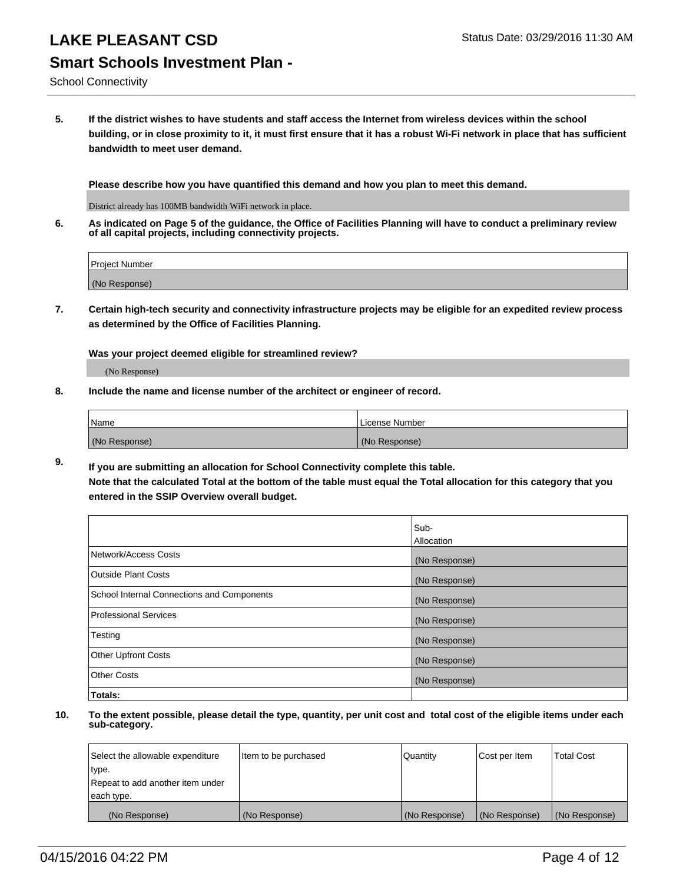School Connectivity

**5. If the district wishes to have students and staff access the Internet from wireless devices within the school building, or in close proximity to it, it must first ensure that it has a robust Wi-Fi network in place that has sufficient bandwidth to meet user demand.**

**Please describe how you have quantified this demand and how you plan to meet this demand.**

District already has 100MB bandwidth WiFi network in place.

**6. As indicated on Page 5 of the guidance, the Office of Facilities Planning will have to conduct a preliminary review of all capital projects, including connectivity projects.**

| <b>Project Number</b> |  |
|-----------------------|--|
|                       |  |
| (No Response)         |  |

**7. Certain high-tech security and connectivity infrastructure projects may be eligible for an expedited review process as determined by the Office of Facilities Planning.**

**Was your project deemed eligible for streamlined review?**

(No Response)

**8. Include the name and license number of the architect or engineer of record.**

| <i>Name</i>   | License Number |
|---------------|----------------|
| (No Response) | (No Response)  |

**9. If you are submitting an allocation for School Connectivity complete this table. Note that the calculated Total at the bottom of the table must equal the Total allocation for this category that you entered in the SSIP Overview overall budget.** 

|                                            | Sub-          |
|--------------------------------------------|---------------|
|                                            | Allocation    |
| Network/Access Costs                       | (No Response) |
| <b>Outside Plant Costs</b>                 | (No Response) |
| School Internal Connections and Components | (No Response) |
| <b>Professional Services</b>               | (No Response) |
| Testing                                    | (No Response) |
| <b>Other Upfront Costs</b>                 | (No Response) |
| <b>Other Costs</b>                         | (No Response) |
| Totals:                                    |               |

| Select the allowable expenditure | Item to be purchased | Quantity      | Cost per Item | <b>Total Cost</b> |
|----------------------------------|----------------------|---------------|---------------|-------------------|
| type.                            |                      |               |               |                   |
| Repeat to add another item under |                      |               |               |                   |
| each type.                       |                      |               |               |                   |
| (No Response)                    | (No Response)        | (No Response) | (No Response) | (No Response)     |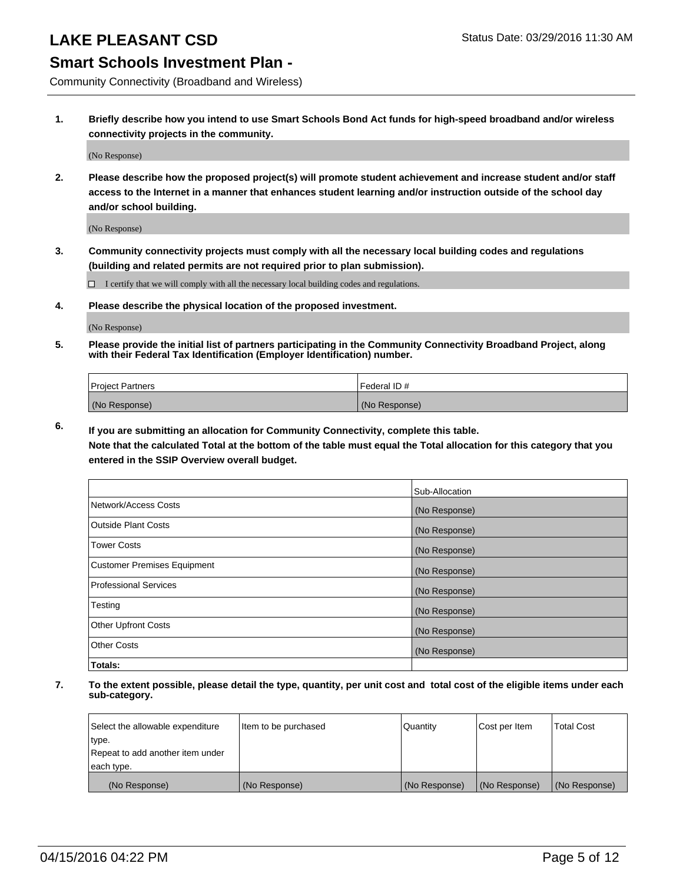### **Smart Schools Investment Plan -**

Community Connectivity (Broadband and Wireless)

**1. Briefly describe how you intend to use Smart Schools Bond Act funds for high-speed broadband and/or wireless connectivity projects in the community.**

(No Response)

**2. Please describe how the proposed project(s) will promote student achievement and increase student and/or staff access to the Internet in a manner that enhances student learning and/or instruction outside of the school day and/or school building.**

(No Response)

**3. Community connectivity projects must comply with all the necessary local building codes and regulations (building and related permits are not required prior to plan submission).**

 $\Box$  I certify that we will comply with all the necessary local building codes and regulations.

**4. Please describe the physical location of the proposed investment.**

(No Response)

**5. Please provide the initial list of partners participating in the Community Connectivity Broadband Project, along with their Federal Tax Identification (Employer Identification) number.**

| <b>Project Partners</b> | I Federal ID # |
|-------------------------|----------------|
| (No Response)           | (No Response)  |

**6. If you are submitting an allocation for Community Connectivity, complete this table.**

**Note that the calculated Total at the bottom of the table must equal the Total allocation for this category that you entered in the SSIP Overview overall budget.**

|                                    | Sub-Allocation |
|------------------------------------|----------------|
| Network/Access Costs               | (No Response)  |
| Outside Plant Costs                | (No Response)  |
| <b>Tower Costs</b>                 | (No Response)  |
| <b>Customer Premises Equipment</b> | (No Response)  |
| Professional Services              | (No Response)  |
| Testing                            | (No Response)  |
| <b>Other Upfront Costs</b>         | (No Response)  |
| <b>Other Costs</b>                 | (No Response)  |
| Totals:                            |                |

| Select the allowable expenditure | Item to be purchased | Quantity      | Cost per Item | <b>Total Cost</b> |
|----------------------------------|----------------------|---------------|---------------|-------------------|
| type.                            |                      |               |               |                   |
| Repeat to add another item under |                      |               |               |                   |
| each type.                       |                      |               |               |                   |
| (No Response)                    | (No Response)        | (No Response) | (No Response) | (No Response)     |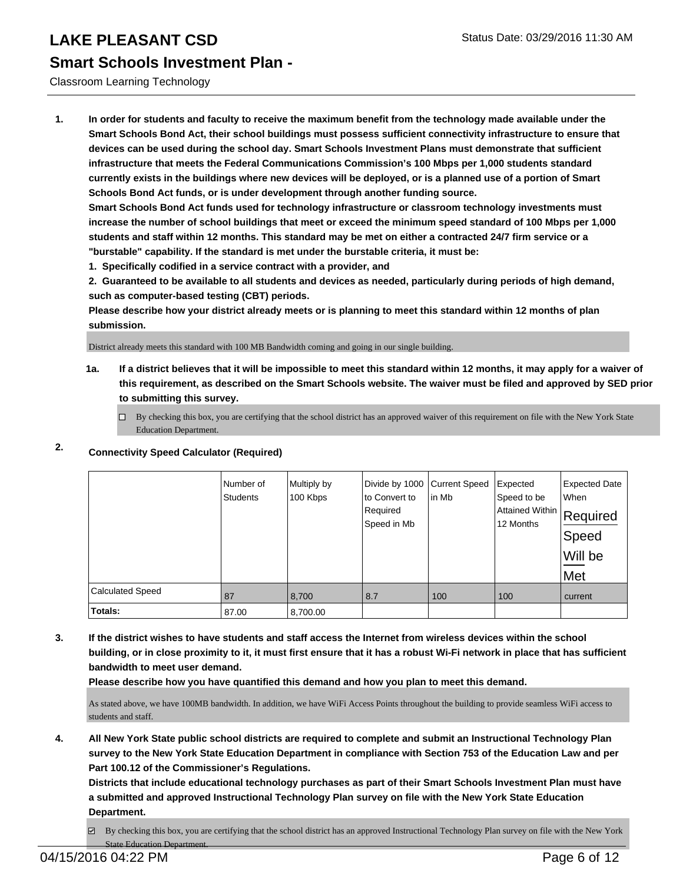#### Classroom Learning Technology

**1. In order for students and faculty to receive the maximum benefit from the technology made available under the Smart Schools Bond Act, their school buildings must possess sufficient connectivity infrastructure to ensure that devices can be used during the school day. Smart Schools Investment Plans must demonstrate that sufficient infrastructure that meets the Federal Communications Commission's 100 Mbps per 1,000 students standard currently exists in the buildings where new devices will be deployed, or is a planned use of a portion of Smart Schools Bond Act funds, or is under development through another funding source.**

**Smart Schools Bond Act funds used for technology infrastructure or classroom technology investments must increase the number of school buildings that meet or exceed the minimum speed standard of 100 Mbps per 1,000 students and staff within 12 months. This standard may be met on either a contracted 24/7 firm service or a "burstable" capability. If the standard is met under the burstable criteria, it must be:**

**1. Specifically codified in a service contract with a provider, and**

**2. Guaranteed to be available to all students and devices as needed, particularly during periods of high demand, such as computer-based testing (CBT) periods.**

**Please describe how your district already meets or is planning to meet this standard within 12 months of plan submission.**

District already meets this standard with 100 MB Bandwidth coming and going in our single building.

**1a. If a district believes that it will be impossible to meet this standard within 12 months, it may apply for a waiver of this requirement, as described on the Smart Schools website. The waiver must be filed and approved by SED prior to submitting this survey.**

 $\Box$  By checking this box, you are certifying that the school district has an approved waiver of this requirement on file with the New York State Education Department.

### **2. Connectivity Speed Calculator (Required)**

|                         | Number of<br><b>Students</b> | Multiply by<br>100 Kbps | Divide by 1000 Current Speed<br>to Convert to<br>Required<br>Speed in Mb | in Mb | Expected<br>Speed to be<br>Attained Within Required<br>12 Months | <b>Expected Date</b><br>When<br>Speed<br>Will be<br>Met |
|-------------------------|------------------------------|-------------------------|--------------------------------------------------------------------------|-------|------------------------------------------------------------------|---------------------------------------------------------|
| <b>Calculated Speed</b> | 87                           | 8,700                   | 8.7                                                                      | 100   | 100                                                              | current                                                 |
| Totals:                 | 87.00                        | 8,700.00                |                                                                          |       |                                                                  |                                                         |

**3. If the district wishes to have students and staff access the Internet from wireless devices within the school building, or in close proximity to it, it must first ensure that it has a robust Wi-Fi network in place that has sufficient bandwidth to meet user demand.**

**Please describe how you have quantified this demand and how you plan to meet this demand.**

As stated above, we have 100MB bandwidth. In addition, we have WiFi Access Points throughout the building to provide seamless WiFi access to students and staff.

**4. All New York State public school districts are required to complete and submit an Instructional Technology Plan survey to the New York State Education Department in compliance with Section 753 of the Education Law and per Part 100.12 of the Commissioner's Regulations.**

**Districts that include educational technology purchases as part of their Smart Schools Investment Plan must have a submitted and approved Instructional Technology Plan survey on file with the New York State Education Department.**

 $\boxtimes$  By checking this box, you are certifying that the school district has an approved Instructional Technology Plan survey on file with the New York State Education Department.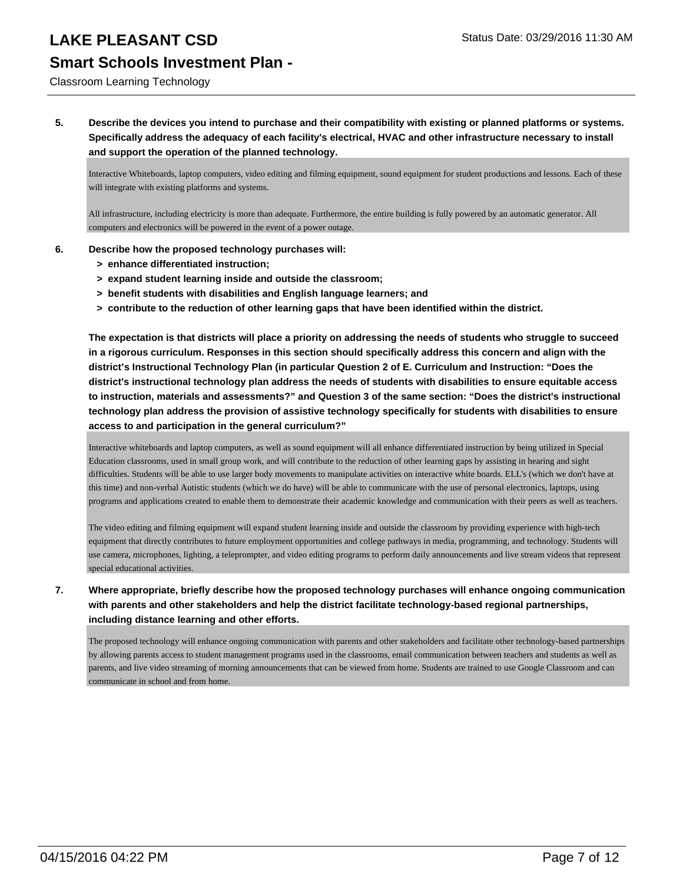# Classroom Learning Technology

### **5. Describe the devices you intend to purchase and their compatibility with existing or planned platforms or systems. Specifically address the adequacy of each facility's electrical, HVAC and other infrastructure necessary to install and support the operation of the planned technology.**

Interactive Whiteboards, laptop computers, video editing and filming equipment, sound equipment for student productions and lessons. Each of these will integrate with existing platforms and systems.

All infrastructure, including electricity is more than adequate. Furthermore, the entire building is fully powered by an automatic generator. All computers and electronics will be powered in the event of a power outage.

### **6. Describe how the proposed technology purchases will:**

- **> enhance differentiated instruction;**
- **> expand student learning inside and outside the classroom;**
- **> benefit students with disabilities and English language learners; and**
- **> contribute to the reduction of other learning gaps that have been identified within the district.**

**The expectation is that districts will place a priority on addressing the needs of students who struggle to succeed in a rigorous curriculum. Responses in this section should specifically address this concern and align with the district's Instructional Technology Plan (in particular Question 2 of E. Curriculum and Instruction: "Does the district's instructional technology plan address the needs of students with disabilities to ensure equitable access to instruction, materials and assessments?" and Question 3 of the same section: "Does the district's instructional technology plan address the provision of assistive technology specifically for students with disabilities to ensure access to and participation in the general curriculum?"**

Interactive whiteboards and laptop computers, as well as sound equipment will all enhance differentiated instruction by being utilized in Special Education classrooms, used in small group work, and will contribute to the reduction of other learning gaps by assisting in hearing and sight difficulties. Students will be able to use larger body movements to manipulate activities on interactive white boards. ELL's (which we don't have at this time) and non-verbal Autistic students (which we do have) will be able to communicate with the use of personal electronics, laptops, using programs and applications created to enable them to demonstrate their academic knowledge and communication with their peers as well as teachers.

The video editing and filming equipment will expand student learning inside and outside the classroom by providing experience with high-tech equipment that directly contributes to future employment opportunities and college pathways in media, programming, and technology. Students will use camera, microphones, lighting, a teleprompter, and video editing programs to perform daily announcements and live stream videos that represent special educational activities.

**7. Where appropriate, briefly describe how the proposed technology purchases will enhance ongoing communication with parents and other stakeholders and help the district facilitate technology-based regional partnerships, including distance learning and other efforts.**

The proposed technology will enhance ongoing communication with parents and other stakeholders and facilitate other technology-based partnerships by allowing parents access to student management programs used in the classrooms, email communication between teachers and students as well as parents, and live video streaming of morning announcements that can be viewed from home. Students are trained to use Google Classroom and can communicate in school and from home.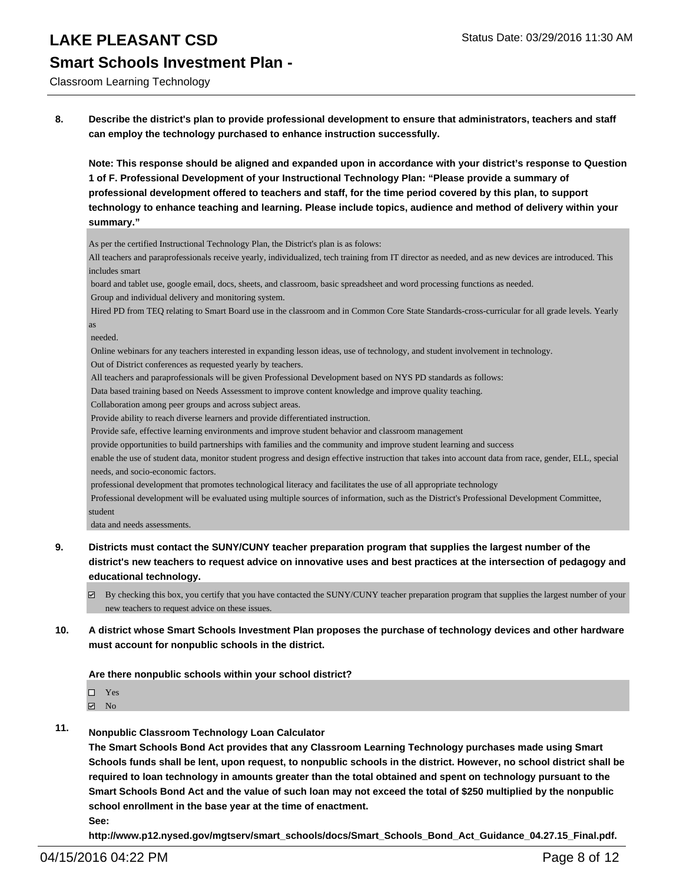Classroom Learning Technology

**8. Describe the district's plan to provide professional development to ensure that administrators, teachers and staff can employ the technology purchased to enhance instruction successfully.**

**Note: This response should be aligned and expanded upon in accordance with your district's response to Question 1 of F. Professional Development of your Instructional Technology Plan: "Please provide a summary of professional development offered to teachers and staff, for the time period covered by this plan, to support technology to enhance teaching and learning. Please include topics, audience and method of delivery within your summary."**

As per the certified Instructional Technology Plan, the District's plan is as folows:

All teachers and paraprofessionals receive yearly, individualized, tech training from IT director as needed, and as new devices are introduced. This includes smart

 board and tablet use, google email, docs, sheets, and classroom, basic spreadsheet and word processing functions as needed. Group and individual delivery and monitoring system.

 Hired PD from TEQ relating to Smart Board use in the classroom and in Common Core State Standards-cross-curricular for all grade levels. Yearly as

needed.

Online webinars for any teachers interested in expanding lesson ideas, use of technology, and student involvement in technology.

Out of District conferences as requested yearly by teachers.

All teachers and paraprofessionals will be given Professional Development based on NYS PD standards as follows:

Data based training based on Needs Assessment to improve content knowledge and improve quality teaching.

Collaboration among peer groups and across subject areas.

Provide ability to reach diverse learners and provide differentiated instruction.

Provide safe, effective learning environments and improve student behavior and classroom management

provide opportunities to build partnerships with families and the community and improve student learning and success

 enable the use of student data, monitor student progress and design effective instruction that takes into account data from race, gender, ELL, special needs, and socio-economic factors.

professional development that promotes technological literacy and facilitates the use of all appropriate technology

 Professional development will be evaluated using multiple sources of information, such as the District's Professional Development Committee, student

data and needs assessments.

**9. Districts must contact the SUNY/CUNY teacher preparation program that supplies the largest number of the district's new teachers to request advice on innovative uses and best practices at the intersection of pedagogy and educational technology.**

 $\boxtimes$  By checking this box, you certify that you have contacted the SUNY/CUNY teacher preparation program that supplies the largest number of your new teachers to request advice on these issues.

**10. A district whose Smart Schools Investment Plan proposes the purchase of technology devices and other hardware must account for nonpublic schools in the district.**

**Are there nonpublic schools within your school district?**

| $\square$ Yes |  |
|---------------|--|
|               |  |

No

**11. Nonpublic Classroom Technology Loan Calculator**

**The Smart Schools Bond Act provides that any Classroom Learning Technology purchases made using Smart Schools funds shall be lent, upon request, to nonpublic schools in the district. However, no school district shall be required to loan technology in amounts greater than the total obtained and spent on technology pursuant to the Smart Schools Bond Act and the value of such loan may not exceed the total of \$250 multiplied by the nonpublic school enrollment in the base year at the time of enactment.**

**See:**

**http://www.p12.nysed.gov/mgtserv/smart\_schools/docs/Smart\_Schools\_Bond\_Act\_Guidance\_04.27.15\_Final.pdf.**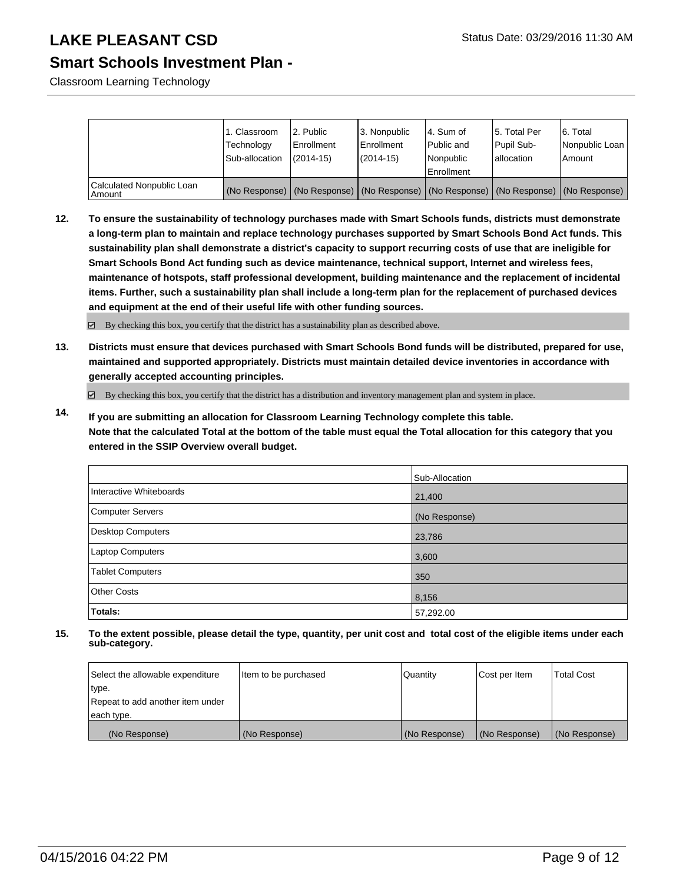### **Smart Schools Investment Plan -**

Classroom Learning Technology

|                                     | 1. Classroom<br>Technology<br>Sub-allocation | 2. Public<br>Enrollment<br>$(2014 - 15)$ | 3. Nonpublic<br>Enrollment<br>$(2014 - 15)$ | l 4. Sum of<br>Public and<br>Nonpublic<br>Enrollment                                          | 15. Total Per<br>Pupil Sub-<br>lallocation | 6. Total<br>Nonpublic Loan<br>l Amount |
|-------------------------------------|----------------------------------------------|------------------------------------------|---------------------------------------------|-----------------------------------------------------------------------------------------------|--------------------------------------------|----------------------------------------|
| Calculated Nonpublic Loan<br>Amount |                                              |                                          |                                             | (No Response)   (No Response)   (No Response)   (No Response)   (No Response)   (No Response) |                                            |                                        |

**12. To ensure the sustainability of technology purchases made with Smart Schools funds, districts must demonstrate a long-term plan to maintain and replace technology purchases supported by Smart Schools Bond Act funds. This sustainability plan shall demonstrate a district's capacity to support recurring costs of use that are ineligible for Smart Schools Bond Act funding such as device maintenance, technical support, Internet and wireless fees, maintenance of hotspots, staff professional development, building maintenance and the replacement of incidental items. Further, such a sustainability plan shall include a long-term plan for the replacement of purchased devices and equipment at the end of their useful life with other funding sources.**

By checking this box, you certify that the district has a sustainability plan as described above.

**13. Districts must ensure that devices purchased with Smart Schools Bond funds will be distributed, prepared for use, maintained and supported appropriately. Districts must maintain detailed device inventories in accordance with generally accepted accounting principles.**

By checking this box, you certify that the district has a distribution and inventory management plan and system in place.

**14. If you are submitting an allocation for Classroom Learning Technology complete this table. Note that the calculated Total at the bottom of the table must equal the Total allocation for this category that you entered in the SSIP Overview overall budget.**

|                         | Sub-Allocation |
|-------------------------|----------------|
| Interactive Whiteboards | 21,400         |
| Computer Servers        | (No Response)  |
| Desktop Computers       | 23,786         |
| <b>Laptop Computers</b> | 3,600          |
| <b>Tablet Computers</b> | 350            |
| <b>Other Costs</b>      | 8,156          |
| Totals:                 | 57,292.00      |

| Select the allowable expenditure | litem to be purchased | Quantity      | Cost per Item | <b>Total Cost</b> |
|----------------------------------|-----------------------|---------------|---------------|-------------------|
| type.                            |                       |               |               |                   |
| Repeat to add another item under |                       |               |               |                   |
| each type.                       |                       |               |               |                   |
| (No Response)                    | (No Response)         | (No Response) | (No Response) | (No Response)     |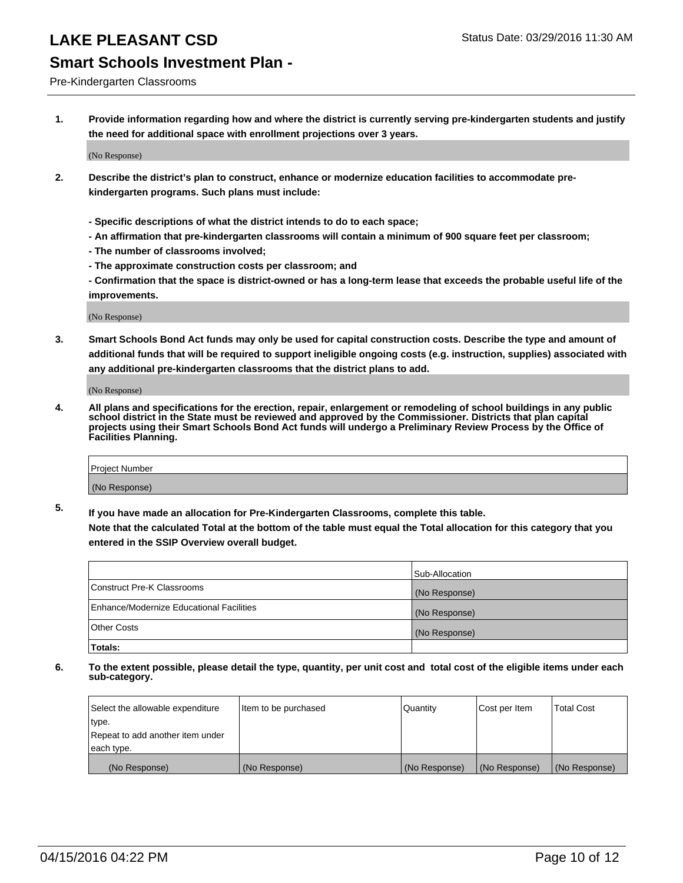#### Pre-Kindergarten Classrooms

**1. Provide information regarding how and where the district is currently serving pre-kindergarten students and justify the need for additional space with enrollment projections over 3 years.**

(No Response)

- **2. Describe the district's plan to construct, enhance or modernize education facilities to accommodate prekindergarten programs. Such plans must include:**
	- **Specific descriptions of what the district intends to do to each space;**
	- **An affirmation that pre-kindergarten classrooms will contain a minimum of 900 square feet per classroom;**
	- **The number of classrooms involved;**
	- **The approximate construction costs per classroom; and**
	- **Confirmation that the space is district-owned or has a long-term lease that exceeds the probable useful life of the improvements.**

(No Response)

**3. Smart Schools Bond Act funds may only be used for capital construction costs. Describe the type and amount of additional funds that will be required to support ineligible ongoing costs (e.g. instruction, supplies) associated with any additional pre-kindergarten classrooms that the district plans to add.**

(No Response)

**4. All plans and specifications for the erection, repair, enlargement or remodeling of school buildings in any public school district in the State must be reviewed and approved by the Commissioner. Districts that plan capital projects using their Smart Schools Bond Act funds will undergo a Preliminary Review Process by the Office of Facilities Planning.**

| Project Number |  |
|----------------|--|
| (No Response)  |  |

**5. If you have made an allocation for Pre-Kindergarten Classrooms, complete this table. Note that the calculated Total at the bottom of the table must equal the Total allocation for this category that you**

**entered in the SSIP Overview overall budget.**

| <b>Totals:</b>                           |                |
|------------------------------------------|----------------|
| Other Costs                              | (No Response)  |
| Enhance/Modernize Educational Facilities | (No Response)  |
| Construct Pre-K Classrooms               | (No Response)  |
|                                          | Sub-Allocation |

| Select the allowable expenditure | Item to be purchased | Quantity      | Cost per Item | <b>Total Cost</b> |
|----------------------------------|----------------------|---------------|---------------|-------------------|
| type.                            |                      |               |               |                   |
| Repeat to add another item under |                      |               |               |                   |
| each type.                       |                      |               |               |                   |
| (No Response)                    | (No Response)        | (No Response) | (No Response) | (No Response)     |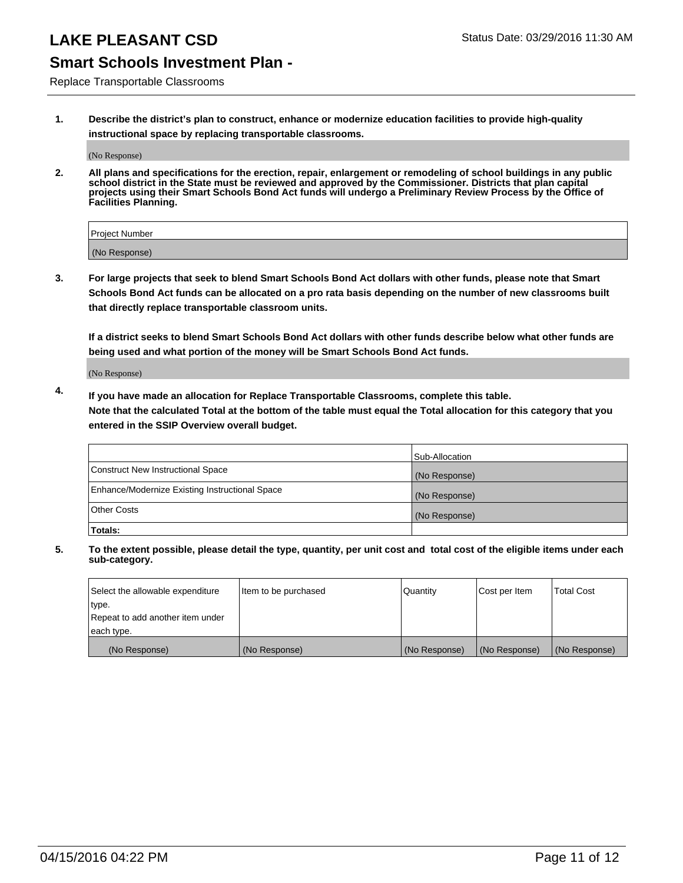### **Smart Schools Investment Plan -**

Replace Transportable Classrooms

**1. Describe the district's plan to construct, enhance or modernize education facilities to provide high-quality instructional space by replacing transportable classrooms.**

(No Response)

**2. All plans and specifications for the erection, repair, enlargement or remodeling of school buildings in any public school district in the State must be reviewed and approved by the Commissioner. Districts that plan capital projects using their Smart Schools Bond Act funds will undergo a Preliminary Review Process by the Office of Facilities Planning.**

| Project Number |  |
|----------------|--|
|                |  |
| (No Response)  |  |

**3. For large projects that seek to blend Smart Schools Bond Act dollars with other funds, please note that Smart Schools Bond Act funds can be allocated on a pro rata basis depending on the number of new classrooms built that directly replace transportable classroom units.**

**If a district seeks to blend Smart Schools Bond Act dollars with other funds describe below what other funds are being used and what portion of the money will be Smart Schools Bond Act funds.**

(No Response)

**4. If you have made an allocation for Replace Transportable Classrooms, complete this table. Note that the calculated Total at the bottom of the table must equal the Total allocation for this category that you entered in the SSIP Overview overall budget.**

|                                                | Sub-Allocation |
|------------------------------------------------|----------------|
| Construct New Instructional Space              | (No Response)  |
| Enhance/Modernize Existing Instructional Space | (No Response)  |
| <b>Other Costs</b>                             | (No Response)  |
| Totals:                                        |                |

| Select the allowable expenditure | Item to be purchased | Quantity      | Cost per Item | <b>Total Cost</b> |
|----------------------------------|----------------------|---------------|---------------|-------------------|
| type.                            |                      |               |               |                   |
| Repeat to add another item under |                      |               |               |                   |
| each type.                       |                      |               |               |                   |
| (No Response)                    | (No Response)        | (No Response) | (No Response) | (No Response)     |